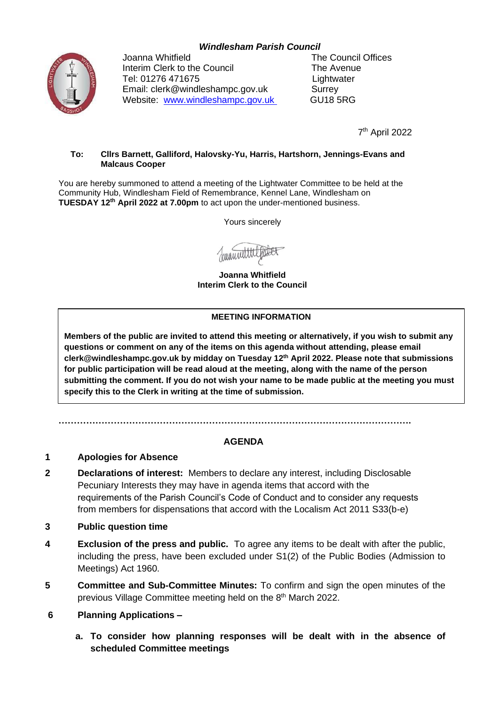## *Windlesham Parish Council*



Joanna Whitfield **The Council Offices** Interim Clerk to the Council The Avenue Tel: 01276 471675 Lightwater Email: clerk@windleshampc.gov.uk Surrey Website: [www.windleshampc.gov.uk](http://www.windleshampc.gov.uk/) GU18 5RG

7 th April 2022

#### **To: Cllrs Barnett, Galliford, Halovsky-Yu, Harris, Hartshorn, Jennings-Evans and Malcaus Cooper**

You are hereby summoned to attend a meeting of the Lightwater Committee to be held at the Community Hub, Windlesham Field of Remembrance, Kennel Lane, Windlesham on **TUESDAY 12th April 2022 at 7.00pm** to act upon the under-mentioned business.

Yours sincerely

**Joanna Whitfield Interim Clerk to the Council**

#### **MEETING INFORMATION**

**Members of the public are invited to attend this meeting or alternatively, if you wish to submit any questions or comment on any of the items on this agenda without attending, please email clerk@windleshampc.gov.uk by midday on Tuesday 12th April 2022. Please note that submissions for public participation will be read aloud at the meeting, along with the name of the person submitting the comment. If you do not wish your name to be made public at the meeting you must specify this to the Clerk in writing at the time of submission.**

**…………………………………………………………………………………………………….**

## **AGENDA**

## **1 Apologies for Absence**

**2 Declarations of interest:** Members to declare any interest, including Disclosable Pecuniary Interests they may have in agenda items that accord with the requirements of the Parish Council's Code of Conduct and to consider any requests from members for dispensations that accord with the Localism Act 2011 S33(b-e)

#### **3 Public question time**

- **4 Exclusion of the press and public.** To agree any items to be dealt with after the public, including the press, have been excluded under S1(2) of the Public Bodies (Admission to Meetings) Act 1960.
- **5 Committee and Sub-Committee Minutes:** To confirm and sign the open minutes of the previous Village Committee meeting held on the 8<sup>th</sup> March 2022.
- **6 Planning Applications –**
	- **a. To consider how planning responses will be dealt with in the absence of scheduled Committee meetings**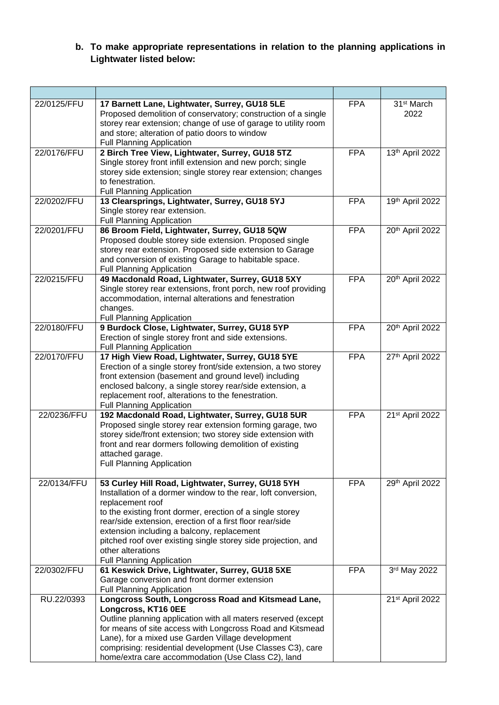# **b. To make appropriate representations in relation to the planning applications in Lightwater listed below:**

| 22/0125/FFU | 17 Barnett Lane, Lightwater, Surrey, GU18 5LE<br>Proposed demolition of conservatory; construction of a single<br>storey rear extension; change of use of garage to utility room<br>and store; alteration of patio doors to window<br><b>Full Planning Application</b>                                                                                                                                                                  | <b>FPA</b> | 31 <sup>st</sup> March<br>2022 |
|-------------|-----------------------------------------------------------------------------------------------------------------------------------------------------------------------------------------------------------------------------------------------------------------------------------------------------------------------------------------------------------------------------------------------------------------------------------------|------------|--------------------------------|
| 22/0176/FFU | 2 Birch Tree View, Lightwater, Surrey, GU18 5TZ<br>Single storey front infill extension and new porch; single<br>storey side extension; single storey rear extension; changes<br>to fenestration.<br><b>Full Planning Application</b>                                                                                                                                                                                                   | <b>FPA</b> | 13th April 2022                |
| 22/0202/FFU | 13 Clearsprings, Lightwater, Surrey, GU18 5YJ<br>Single storey rear extension.<br><b>Full Planning Application</b>                                                                                                                                                                                                                                                                                                                      | <b>FPA</b> | 19th April 2022                |
| 22/0201/FFU | 86 Broom Field, Lightwater, Surrey, GU18 5QW<br>Proposed double storey side extension. Proposed single<br>storey rear extension. Proposed side extension to Garage<br>and conversion of existing Garage to habitable space.<br><b>Full Planning Application</b>                                                                                                                                                                         | <b>FPA</b> | 20th April 2022                |
| 22/0215/FFU | 49 Macdonald Road, Lightwater, Surrey, GU18 5XY<br>Single storey rear extensions, front porch, new roof providing<br>accommodation, internal alterations and fenestration<br>changes.<br><b>Full Planning Application</b>                                                                                                                                                                                                               | <b>FPA</b> | 20th April 2022                |
| 22/0180/FFU | 9 Burdock Close, Lightwater, Surrey, GU18 5YP<br>Erection of single storey front and side extensions.<br><b>Full Planning Application</b>                                                                                                                                                                                                                                                                                               | <b>FPA</b> | 20th April 2022                |
| 22/0170/FFU | 17 High View Road, Lightwater, Surrey, GU18 5YE<br>Erection of a single storey front/side extension, a two storey<br>front extension (basement and ground level) including<br>enclosed balcony, a single storey rear/side extension, a<br>replacement roof, alterations to the fenestration.<br><b>Full Planning Application</b>                                                                                                        | <b>FPA</b> | 27th April 2022                |
| 22/0236/FFU | 192 Macdonald Road, Lightwater, Surrey, GU18 5UR<br>Proposed single storey rear extension forming garage, two<br>storey side/front extension; two storey side extension with<br>front and rear dormers following demolition of existing<br>attached garage.<br><b>Full Planning Application</b>                                                                                                                                         | <b>FPA</b> | 21st April 2022                |
| 22/0134/FFU | 53 Curley Hill Road, Lightwater, Surrey, GU18 5YH<br>Installation of a dormer window to the rear, loft conversion,<br>replacement roof<br>to the existing front dormer, erection of a single storey<br>rear/side extension, erection of a first floor rear/side<br>extension including a balcony, replacement<br>pitched roof over existing single storey side projection, and<br>other alterations<br><b>Full Planning Application</b> | <b>FPA</b> | 29th April 2022                |
| 22/0302/FFU | 61 Keswick Drive, Lightwater, Surrey, GU18 5XE<br>Garage conversion and front dormer extension<br><b>Full Planning Application</b>                                                                                                                                                                                                                                                                                                      | <b>FPA</b> | 3rd May 2022                   |
| RU.22/0393  | Longcross South, Longcross Road and Kitsmead Lane,<br>Longcross, KT16 0EE<br>Outline planning application with all maters reserved (except<br>for means of site access with Longcross Road and Kitsmead<br>Lane), for a mixed use Garden Village development<br>comprising: residential development (Use Classes C3), care<br>home/extra care accommodation (Use Class C2), land                                                        |            | 21st April 2022                |